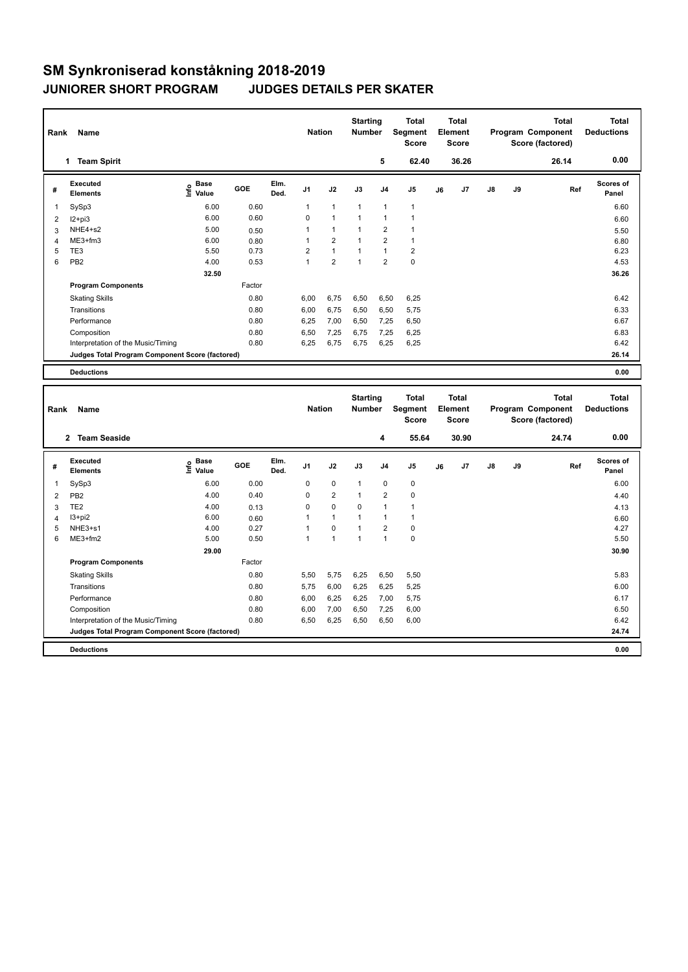## **SM Synkroniserad konståkning 2018-2019 JUNIORER SHORT PROGRAM JUDGES DETAILS PER SKATER**

| Rank                    | Name                                                                                  |                            |              |              | <b>Nation</b>                    |                             | <b>Starting</b><br>Number        |                                | <b>Total</b><br>Segment<br><b>Score</b> |    | <b>Total</b><br>Element<br><b>Score</b> |    |    | <b>Total</b><br>Program Component<br>Score (factored) | <b>Total</b><br><b>Deductions</b> |
|-------------------------|---------------------------------------------------------------------------------------|----------------------------|--------------|--------------|----------------------------------|-----------------------------|----------------------------------|--------------------------------|-----------------------------------------|----|-----------------------------------------|----|----|-------------------------------------------------------|-----------------------------------|
|                         | 1 Team Spirit                                                                         |                            |              |              |                                  |                             |                                  | 5                              | 62.40                                   |    | 36.26                                   |    |    | 26.14                                                 | 0.00                              |
| #                       | <b>Executed</b><br><b>Elements</b>                                                    | e Base<br>E Value<br>Value | GOE          | Elm.<br>Ded. | J1                               | J2                          | J3                               | J4                             | J5                                      | J6 | J7                                      | J8 | J9 | Ref                                                   | <b>Scores of</b><br>Panel         |
| -1                      | SySp3                                                                                 | 6.00                       | 0.60         |              | $\mathbf{1}$                     | $\mathbf{1}$                | $\mathbf{1}$                     | $\mathbf{1}$                   | $\mathbf{1}$                            |    |                                         |    |    |                                                       | 6.60                              |
| $\overline{\mathbf{c}}$ | $12+pi3$                                                                              | 6.00                       | 0.60         |              | $\mathbf 0$                      | $\mathbf{1}$                | $\mathbf{1}$                     | 1                              | $\mathbf{1}$                            |    |                                         |    |    |                                                       | 6.60                              |
| 3                       | NHE4+s2                                                                               | 5.00                       | 0.50         |              | $\overline{1}$                   | $\mathbf{1}$                | $\mathbf{1}$                     | $\overline{2}$                 | 1                                       |    |                                         |    |    |                                                       | 5.50                              |
| $\overline{4}$          | $ME3+fm3$                                                                             | 6.00                       | 0.80         |              | $\overline{1}$                   | $\overline{2}$              | $\mathbf{1}$                     | $\overline{2}$                 | $\mathbf{1}$                            |    |                                         |    |    |                                                       | 6.80                              |
| 5                       | TE3                                                                                   | 5.50                       | 0.73         |              | $\overline{2}$                   | $\mathbf{1}$                | $\mathbf{1}$                     | $\mathbf{1}$                   | $\overline{2}$                          |    |                                         |    |    |                                                       | 6.23                              |
| 6                       | PB <sub>2</sub>                                                                       | 4.00                       | 0.53         |              | $\mathbf{1}$                     | $\overline{2}$              | $\mathbf{1}$                     | $\overline{2}$                 | $\mathbf 0$                             |    |                                         |    |    |                                                       | 4.53                              |
|                         |                                                                                       | 32.50                      |              |              |                                  |                             |                                  |                                |                                         |    |                                         |    |    |                                                       | 36.26                             |
|                         | <b>Program Components</b>                                                             |                            | Factor       |              |                                  |                             |                                  |                                |                                         |    |                                         |    |    |                                                       |                                   |
|                         | <b>Skating Skills</b>                                                                 |                            | 0.80         |              | 6,00                             | 6,75                        | 6,50                             | 6,50                           | 6,25                                    |    |                                         |    |    |                                                       | 6.42                              |
|                         | Transitions                                                                           |                            | 0.80         |              | 6,00                             | 6,75                        | 6,50                             | 6,50                           | 5,75                                    |    |                                         |    |    |                                                       | 6.33                              |
|                         | Performance                                                                           |                            | 0.80         |              | 6,25                             | 7,00                        | 6,50                             | 7,25                           | 6,50                                    |    |                                         |    |    |                                                       | 6.67                              |
|                         | Composition                                                                           |                            | 0.80         |              | 6,50                             | 7,25                        | 6,75                             | 7,25                           | 6,25                                    |    |                                         |    |    |                                                       | 6.83                              |
|                         | Interpretation of the Music/Timing                                                    |                            | 0.80         |              | 6,25                             | 6,75                        | 6,75                             | 6,25                           | 6,25                                    |    |                                         |    |    |                                                       | 6.42                              |
|                         | Judges Total Program Component Score (factored)                                       |                            |              |              |                                  |                             |                                  |                                |                                         |    |                                         |    |    |                                                       | 26.14                             |
|                         | <b>Deductions</b>                                                                     |                            |              |              |                                  |                             |                                  |                                |                                         |    |                                         |    |    |                                                       | 0.00                              |
|                         |                                                                                       |                            |              |              |                                  |                             |                                  |                                |                                         |    |                                         |    |    |                                                       |                                   |
|                         |                                                                                       |                            |              |              |                                  |                             |                                  |                                |                                         |    |                                         |    |    |                                                       |                                   |
| Rank                    | Name                                                                                  |                            |              |              | <b>Nation</b>                    |                             | <b>Starting</b><br><b>Number</b> |                                | <b>Total</b><br>Segment<br><b>Score</b> |    | <b>Total</b><br>Element<br><b>Score</b> |    |    | <b>Total</b><br>Program Component<br>Score (factored) | <b>Total</b><br><b>Deductions</b> |
|                         | 2 Team Seaside                                                                        |                            |              |              |                                  |                             |                                  | 4                              | 55.64                                   |    | 30.90                                   |    |    | 24.74                                                 | 0.00                              |
| #                       | <b>Executed</b><br><b>Elements</b>                                                    | <b>Base</b>                | GOE          | Elm.<br>Ded. | J1                               | J2                          | J3                               | J4                             | J5                                      | J6 | J7                                      | J8 | J9 | Ref                                                   | Scores of<br>Panel                |
|                         |                                                                                       | Info<br>Value              |              |              |                                  |                             |                                  |                                |                                         |    |                                         |    |    |                                                       |                                   |
| 1                       | SySp3                                                                                 | 6.00                       | 0.00         |              | $\mathbf 0$                      | $\pmb{0}$                   | $\mathbf{1}$                     | $\mathbf 0$                    | $\pmb{0}$                               |    |                                         |    |    |                                                       | 6.00                              |
| 2                       | PB <sub>2</sub>                                                                       | 4.00                       | 0.40         |              | $\mathbf 0$                      | $\overline{2}$              | $\mathbf{1}$                     | $\overline{2}$                 | 0                                       |    |                                         |    |    |                                                       | 4.40                              |
| 3                       | TE <sub>2</sub>                                                                       | 4.00                       | 0.13         |              | $\mathbf 0$                      | $\mathbf 0$                 | $\mathbf 0$                      | $\mathbf{1}$                   | $\mathbf{1}$                            |    |                                         |    |    |                                                       | 4.13                              |
| $\overline{4}$          | $13 + pi2$                                                                            | 6.00                       | 0.60         |              | $\overline{1}$<br>$\overline{1}$ | $\mathbf{1}$                | $\mathbf{1}$                     | 1                              | $\mathbf{1}$                            |    |                                         |    |    |                                                       | 6.60                              |
| 5<br>6                  | NHE3+s1<br>ME3+fm2                                                                    | 4.00<br>5.00               | 0.27<br>0.50 |              | $\mathbf{1}$                     | $\mathbf 0$<br>$\mathbf{1}$ | $\mathbf{1}$<br>$\mathbf{1}$     | $\overline{2}$<br>$\mathbf{1}$ | $\mathbf 0$<br>$\mathbf 0$              |    |                                         |    |    |                                                       | 4.27<br>5.50                      |
|                         |                                                                                       |                            |              |              |                                  |                             |                                  |                                |                                         |    |                                         |    |    |                                                       |                                   |
|                         | <b>Program Components</b>                                                             | 29.00                      | Factor       |              |                                  |                             |                                  |                                |                                         |    |                                         |    |    |                                                       | 30.90                             |
|                         |                                                                                       |                            | 0.80         |              |                                  |                             |                                  |                                |                                         |    |                                         |    |    |                                                       |                                   |
|                         | <b>Skating Skills</b><br>Transitions                                                  |                            | 0.80         |              | 5,50                             | 5,75                        | 6,25                             | 6,50                           | 5,50                                    |    |                                         |    |    |                                                       | 5.83<br>6.00                      |
|                         |                                                                                       |                            |              |              | 5,75                             | 6,00                        | 6,25                             | 6,25                           | 5,25                                    |    |                                         |    |    |                                                       |                                   |
|                         | Performance                                                                           |                            | 0.80         |              | 6,00                             | 6,25                        | 6,25                             | 7,00                           | 5,75                                    |    |                                         |    |    |                                                       | 6.17                              |
|                         | Composition                                                                           |                            | 0.80         |              | 6,00                             | 7,00                        | 6,50                             | 7,25                           | 6,00                                    |    |                                         |    |    |                                                       | 6.50                              |
|                         | Interpretation of the Music/Timing<br>Judges Total Program Component Score (factored) |                            | 0.80         |              | 6,50                             | 6,25                        | 6,50                             | 6,50                           | 6,00                                    |    |                                         |    |    |                                                       | 6.42<br>24.74                     |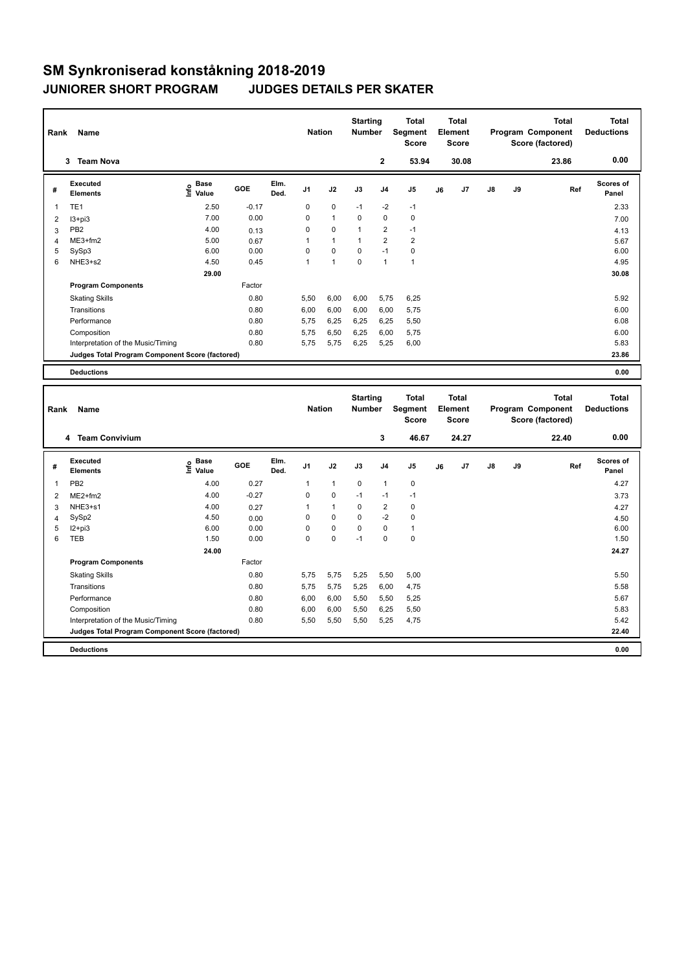## **SM Synkroniserad konståkning 2018-2019 JUNIORER SHORT PROGRAM JUDGES DETAILS PER SKATER**

| Rank           | Name                                            |                                           |         |              | <b>Nation</b>  |                | <b>Starting</b><br><b>Number</b> |                | <b>Total</b><br>Segment<br><b>Score</b> |    | <b>Total</b><br>Element<br><b>Score</b> |    |    | <b>Total</b><br>Program Component<br>Score (factored) | <b>Total</b><br><b>Deductions</b> |
|----------------|-------------------------------------------------|-------------------------------------------|---------|--------------|----------------|----------------|----------------------------------|----------------|-----------------------------------------|----|-----------------------------------------|----|----|-------------------------------------------------------|-----------------------------------|
|                | 3 Team Nova                                     |                                           |         |              |                |                |                                  | $\mathbf 2$    | 53.94                                   |    | 30.08                                   |    |    | 23.86                                                 | 0.00                              |
| #              | <b>Executed</b><br><b>Elements</b>              | <b>Base</b><br>e Base<br>⊆ Value          | GOE     | Elm.<br>Ded. | J1             | J2             | J3                               | J <sub>4</sub> | J5                                      | J6 | J7                                      | J8 | J9 | Ref                                                   | Scores of<br>Panel                |
| 1              | TE <sub>1</sub>                                 | 2.50                                      | $-0.17$ |              | 0              | $\mathbf 0$    | $-1$                             | $-2$           | $-1$                                    |    |                                         |    |    |                                                       | 2.33                              |
| $\overline{2}$ | I3+pi3                                          | 7.00                                      | 0.00    |              | $\mathbf 0$    | $\overline{1}$ | 0                                | $\mathbf 0$    | $\mathbf 0$                             |    |                                         |    |    |                                                       | 7.00                              |
| 3              | PB <sub>2</sub>                                 | 4.00                                      | 0.13    |              | 0              | 0              | 1                                | $\overline{2}$ | $-1$                                    |    |                                         |    |    |                                                       | 4.13                              |
| $\overline{4}$ | $ME3+fm2$                                       | 5.00                                      | 0.67    |              | $\mathbf{1}$   | $\mathbf{1}$   | $\mathbf{1}$                     | $\overline{2}$ | $\overline{2}$                          |    |                                         |    |    |                                                       | 5.67                              |
| 5              | SySp3                                           | 6.00                                      | 0.00    |              | 0              | 0              | 0                                | $-1$           | $\pmb{0}$                               |    |                                         |    |    |                                                       | 6.00                              |
| 6              | NHE3+s2                                         | 4.50                                      | 0.45    |              | $\mathbf{1}$   | $\mathbf{1}$   | 0                                | $\mathbf{1}$   | $\mathbf{1}$                            |    |                                         |    |    |                                                       | 4.95                              |
|                |                                                 | 29.00                                     |         |              |                |                |                                  |                |                                         |    |                                         |    |    |                                                       | 30.08                             |
|                | <b>Program Components</b>                       |                                           | Factor  |              |                |                |                                  |                |                                         |    |                                         |    |    |                                                       |                                   |
|                | <b>Skating Skills</b>                           |                                           | 0.80    |              | 5.50           | 6,00           | 6,00                             | 5,75           | 6,25                                    |    |                                         |    |    |                                                       | 5.92                              |
|                | Transitions                                     |                                           | 0.80    |              | 6,00           | 6,00           | 6,00                             | 6,00           | 5,75                                    |    |                                         |    |    |                                                       | 6.00                              |
|                | Performance                                     |                                           | 0.80    |              | 5,75           | 6,25           | 6,25                             | 6,25           | 5,50                                    |    |                                         |    |    |                                                       | 6.08                              |
|                | Composition                                     |                                           | 0.80    |              | 5,75           | 6,50           | 6,25                             | 6,00           | 5,75                                    |    |                                         |    |    |                                                       | 6.00                              |
|                | Interpretation of the Music/Timing              |                                           | 0.80    |              | 5,75           | 5,75           | 6,25                             | 5,25           | 6,00                                    |    |                                         |    |    |                                                       | 5.83                              |
|                | Judges Total Program Component Score (factored) |                                           |         |              |                |                |                                  |                |                                         |    |                                         |    |    |                                                       | 23.86                             |
|                | <b>Deductions</b>                               |                                           |         |              |                |                |                                  |                |                                         |    |                                         |    |    |                                                       | 0.00                              |
|                |                                                 |                                           |         |              |                |                |                                  |                |                                         |    |                                         |    |    |                                                       |                                   |
|                |                                                 |                                           |         |              |                |                |                                  |                |                                         |    |                                         |    |    |                                                       |                                   |
|                |                                                 |                                           |         |              |                |                | <b>Starting</b>                  |                | <b>Total</b>                            |    | <b>Total</b>                            |    |    | <b>Total</b>                                          | <b>Total</b>                      |
| Rank           | Name                                            |                                           |         |              | <b>Nation</b>  |                | <b>Number</b>                    |                | <b>Segment</b>                          |    | Element                                 |    |    | <b>Program Component</b>                              | <b>Deductions</b>                 |
|                |                                                 |                                           |         |              |                |                |                                  |                | <b>Score</b>                            |    | <b>Score</b>                            |    |    | Score (factored)                                      |                                   |
|                | 4 Team Convivium                                |                                           |         |              |                |                |                                  | 3              | 46.67                                   |    | 24.27                                   |    |    | 22.40                                                 | 0.00                              |
|                |                                                 |                                           |         |              |                |                |                                  |                |                                         |    |                                         |    |    |                                                       |                                   |
| #              | <b>Executed</b><br><b>Elements</b>              | $\frac{e}{E}$ Base<br>$\frac{E}{E}$ Value | GOE     | Elm.<br>Ded. | J <sub>1</sub> | J2             | J3                               | J <sub>4</sub> | J5                                      | J6 | J7                                      | J8 | J9 | Ref                                                   | Scores of<br>Panel                |
| $\mathbf{1}$   | PB <sub>2</sub>                                 | 4.00                                      | 0.27    |              | 1              | $\mathbf{1}$   | 0                                | $\mathbf{1}$   | $\mathbf 0$                             |    |                                         |    |    |                                                       | 4.27                              |
| $\overline{2}$ | $ME2+fm2$                                       | 4.00                                      | $-0.27$ |              | 0              | 0              | $-1$                             | $-1$           | $-1$                                    |    |                                         |    |    |                                                       | 3.73                              |
| 3              | NHE3+s1                                         | 4.00                                      | 0.27    |              | $\mathbf{1}$   | $\mathbf{1}$   | 0                                | $\overline{2}$ | $\pmb{0}$                               |    |                                         |    |    |                                                       | 4.27                              |
| 4              | SySp2                                           | 4.50                                      | 0.00    |              | 0              | 0              | 0                                | $-2$           | $\pmb{0}$                               |    |                                         |    |    |                                                       | 4.50                              |
| 5              | $12 + pi3$                                      | 6.00                                      | 0.00    |              | 0              | 0              | 0                                | $\mathbf 0$    | $\mathbf{1}$                            |    |                                         |    |    |                                                       | 6.00                              |
| 6              | TEB                                             | 1.50                                      | 0.00    |              | 0              | 0              | $-1$                             | $\mathbf 0$    | $\pmb{0}$                               |    |                                         |    |    |                                                       | 1.50                              |
|                |                                                 | 24.00                                     |         |              |                |                |                                  |                |                                         |    |                                         |    |    |                                                       | 24.27                             |
|                | <b>Program Components</b>                       |                                           | Factor  |              |                |                |                                  |                |                                         |    |                                         |    |    |                                                       |                                   |
|                | <b>Skating Skills</b>                           |                                           | 0.80    |              | 5,75           | 5,75           | 5,25                             | 5,50           | 5,00                                    |    |                                         |    |    |                                                       | 5.50                              |
|                | Transitions                                     |                                           | 0.80    |              | 5,75           | 5,75           | 5,25                             | 6,00           | 4,75                                    |    |                                         |    |    |                                                       | 5.58                              |
|                | Performance                                     |                                           | 0.80    |              | 6,00           | 6,00           | 5,50                             | 5,50           | 5,25                                    |    |                                         |    |    |                                                       | 5.67                              |
|                | Composition                                     |                                           | 0.80    |              | 6,00           | 6,00           | 5,50                             | 6,25           | 5,50                                    |    |                                         |    |    |                                                       | 5.83                              |
|                | Interpretation of the Music/Timing              |                                           | 0.80    |              | 5,50           | 5,50           | 5,50                             | 5,25           | 4,75                                    |    |                                         |    |    |                                                       | 5.42                              |

**Deductions 0.00**